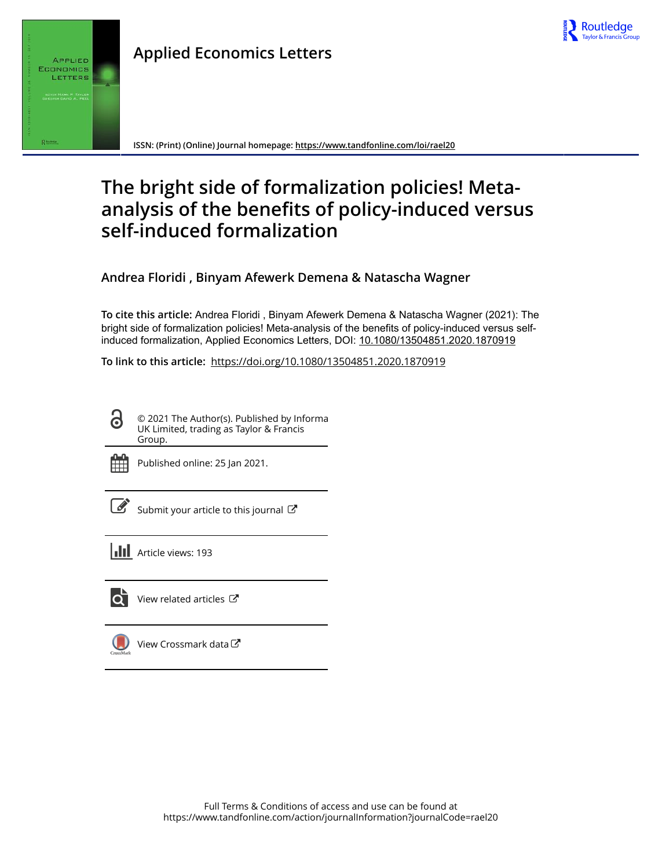



**ISSN: (Print) (Online) Journal homepage:<https://www.tandfonline.com/loi/rael20>**

# **The bright side of formalization policies! Metaanalysis of the benefits of policy-induced versus self-induced formalization**

**Andrea Floridi , Binyam Afewerk Demena & Natascha Wagner**

**To cite this article:** Andrea Floridi , Binyam Afewerk Demena & Natascha Wagner (2021): The bright side of formalization policies! Meta-analysis of the benefits of policy-induced versus selfinduced formalization, Applied Economics Letters, DOI: [10.1080/13504851.2020.1870919](https://www.tandfonline.com/action/showCitFormats?doi=10.1080/13504851.2020.1870919)

**To link to this article:** <https://doi.org/10.1080/13504851.2020.1870919>

© 2021 The Author(s). Published by Informa UK Limited, trading as Taylor & Francis Group.



Published online: 25 Jan 2021.

| ł |
|---|

[Submit your article to this journal](https://www.tandfonline.com/action/authorSubmission?journalCode=rael20&show=instructions)  $\mathbb{Z}$ 

**III** Article views: 193



[View related articles](https://www.tandfonline.com/doi/mlt/10.1080/13504851.2020.1870919)  $\mathbb{Z}$ 

[View Crossmark data](http://crossmark.crossref.org/dialog/?doi=10.1080/13504851.2020.1870919&domain=pdf&date_stamp=2021-01-25)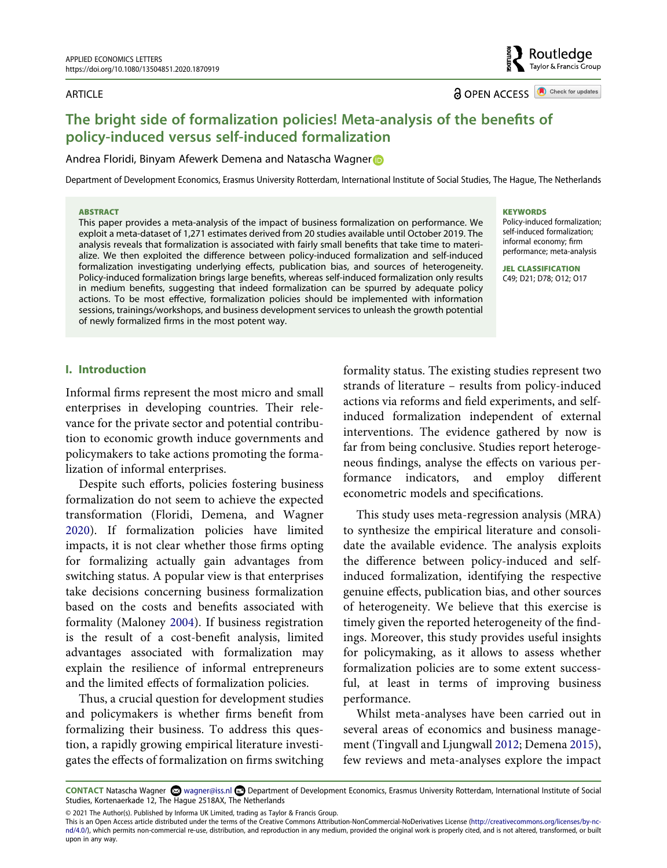#### ARTICLE

**a** OPEN ACCESS **a** Check for updates

# **The bright side of formalization policies! Meta-analysis of the benefits of policy-induced versus self-induced formalization**

#### Andrea Floridi, Binyam Afewerk Demena and Natascha Wagner

Department of Development Economics, Erasmus University Rotterdam, International Institute of Social Studies, The Hague, The Netherlands

#### **ABSTRACT**

This paper provides a meta-analysis of the impact of business formalization on performance. We exploit a meta-dataset of 1,271 estimates derived from 20 studies available until October 2019. The analysis reveals that formalization is associated with fairly small benefits that take time to materialize. We then exploited the difference between policy-induced formalization and self-induced formalization investigating underlying effects, publication bias, and sources of heterogeneity. Policy-induced formalization brings large benefits, whereas self-induced formalization only results in medium benefits, suggesting that indeed formalization can be spurred by adequate policy actions. To be most effective, formalization policies should be implemented with information sessions, trainings/workshops, and business development services to unleash the growth potential of newly formalized firms in the most potent way.

#### **KEYWORDS**

Policy-induced formalization; self-induced formalization; informal economy; firm performance; meta-analysis

**JEL CLASSIFICATION**  C49; D21; D78; O12; O17

# **I. Introduction**

Informal firms represent the most micro and small enterprises in developing countries. Their relevance for the private sector and potential contribution to economic growth induce governments and policymakers to take actions promoting the formalization of informal enterprises.

<span id="page-1-1"></span>Despite such efforts, policies fostering business formalization do not seem to achieve the expected transformation (Floridi, Demena, and Wagner [2020](#page-6-0)). If formalization policies have limited impacts, it is not clear whether those firms opting for formalizing actually gain advantages from switching status. A popular view is that enterprises take decisions concerning business formalization based on the costs and benefits associated with formality (Maloney [2004](#page-6-1)). If business registration is the result of a cost-benefit analysis, limited advantages associated with formalization may explain the resilience of informal entrepreneurs and the limited effects of formalization policies.

<span id="page-1-2"></span>Thus, a crucial question for development studies and policymakers is whether firms benefit from formalizing their business. To address this question, a rapidly growing empirical literature investigates the effects of formalization on firms switching formality status. The existing studies represent two strands of literature – results from policy-induced actions via reforms and field experiments, and selfinduced formalization independent of external interventions. The evidence gathered by now is far from being conclusive. Studies report heterogeneous findings, analyse the effects on various performance indicators, and employ different econometric models and specifications.

This study uses meta-regression analysis (MRA) to synthesize the empirical literature and consolidate the available evidence. The analysis exploits the difference between policy-induced and selfinduced formalization, identifying the respective genuine effects, publication bias, and other sources of heterogeneity. We believe that this exercise is timely given the reported heterogeneity of the findings. Moreover, this study provides useful insights for policymaking, as it allows to assess whether formalization policies are to some extent successful, at least in terms of improving business performance.

<span id="page-1-0"></span>Whilst meta-analyses have been carried out in several areas of economics and business management (Tingvall and Ljungwall [2012](#page-6-2); Demena [2015\)](#page-5-0), few reviews and meta-analyses explore the impact

CONTACT Natascha Wagner & wagner@iss.nl **Department of Development Economics**, Erasmus University Rotterdam, International Institute of Social Studies, Kortenaerkade 12, The Hague 2518AX, The Netherlands

© 2021 The Author(s). Published by Informa UK Limited, trading as Taylor & Francis Group.

This is an Open Access article distributed under the terms of the Creative Commons Attribution-NonCommercial-NoDerivatives License (http://creativecommons.org/licenses/by-ncnd/4.0/), which permits non-commercial re-use, distribution, and reproduction in any medium, provided the original work is properly cited, and is not altered, transformed, or built upon in any way.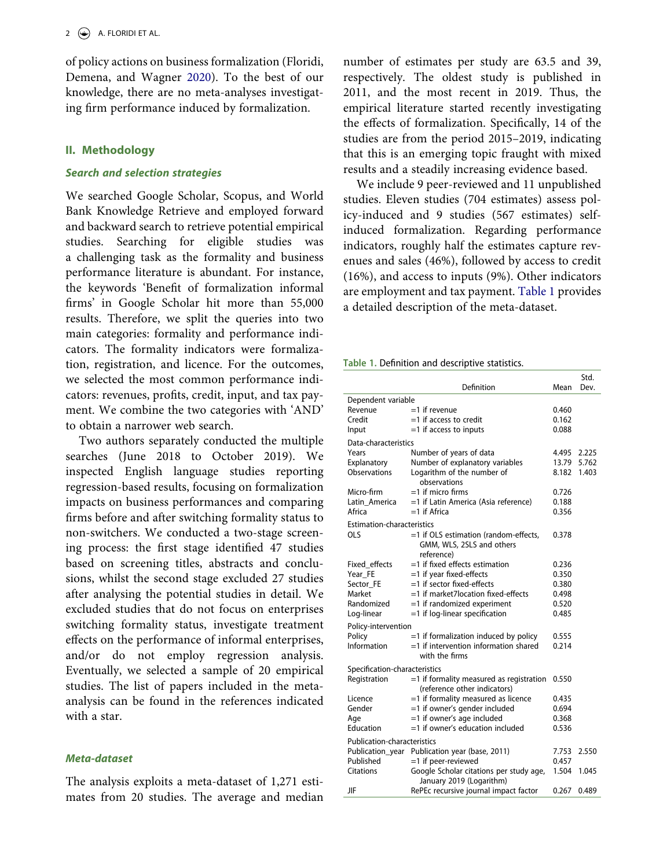of policy actions on business formalization (Floridi, Demena, and Wagner [2020\)](#page-6-0). To the best of our knowledge, there are no meta-analyses investigating firm performance induced by formalization.

# **II. Methodology**

#### *Search and selection strategies*

We searched Google Scholar, Scopus, and World Bank Knowledge Retrieve and employed forward and backward search to retrieve potential empirical studies. Searching for eligible studies was a challenging task as the formality and business performance literature is abundant. For instance, the keywords 'Benefit of formalization informal firms' in Google Scholar hit more than 55,000 results. Therefore, we split the queries into two main categories: formality and performance indicators. The formality indicators were formalization, registration, and licence. For the outcomes, we selected the most common performance indicators: revenues, profits, credit, input, and tax payment. We combine the two categories with 'AND' to obtain a narrower web search.

Two authors separately conducted the multiple searches (June 2018 to October 2019). We inspected English language studies reporting regression-based results, focusing on formalization impacts on business performances and comparing firms before and after switching formality status to non-switchers. We conducted a two-stage screening process: the first stage identified 47 studies based on screening titles, abstracts and conclusions, whilst the second stage excluded 27 studies after analysing the potential studies in detail. We excluded studies that do not focus on enterprises switching formality status, investigate treatment effects on the performance of informal enterprises, and/or do not employ regression analysis. Eventually, we selected a sample of 20 empirical studies. The list of papers included in the metaanalysis can be found in the references indicated with a star.

## *Meta-dataset*

The analysis exploits a meta-dataset of 1,271 estimates from 20 studies. The average and median number of estimates per study are 63.5 and 39, respectively. The oldest study is published in 2011, and the most recent in 2019. Thus, the empirical literature started recently investigating the effects of formalization. Specifically, 14 of the studies are from the period 2015–2019, indicating that this is an emerging topic fraught with mixed results and a steadily increasing evidence based.

We include 9 peer-reviewed and 11 unpublished studies. Eleven studies (704 estimates) assess policy-induced and 9 studies (567 estimates) selfinduced formalization. Regarding performance indicators, roughly half the estimates capture revenues and sales (46%), followed by access to credit (16%), and access to inputs (9%). Other indicators are employment and tax payment. [Table 1](#page-2-0) provides a detailed description of the meta-dataset.

<span id="page-2-0"></span>**Table 1.** Definition and descriptive statistics.

|                                    | Definition                                     | Mean  | Dev.  |  |  |  |  |
|------------------------------------|------------------------------------------------|-------|-------|--|--|--|--|
| Dependent variable                 |                                                |       |       |  |  |  |  |
| Revenue                            | $=$ 1 if revenue                               | 0.460 |       |  |  |  |  |
| Credit                             | $=$ 1 if access to credit                      | 0.162 |       |  |  |  |  |
| Input                              | $=1$ if access to inputs                       | 0.088 |       |  |  |  |  |
| Data-characteristics               |                                                |       |       |  |  |  |  |
| Years                              | Number of years of data                        | 4.495 | 2.225 |  |  |  |  |
| Explanatory                        | Number of explanatory variables                | 13.79 | 5.762 |  |  |  |  |
| Observations                       | Logarithm of the number of                     | 8.182 | 1.403 |  |  |  |  |
|                                    | observations                                   |       |       |  |  |  |  |
| Micro-firm                         | $=1$ if micro firms                            | 0.726 |       |  |  |  |  |
| Latin America                      | =1 if Latin America (Asia reference)           | 0.188 |       |  |  |  |  |
| Africa                             | $=1$ if Africa                                 | 0.356 |       |  |  |  |  |
| <b>Estimation-characteristics</b>  |                                                |       |       |  |  |  |  |
| <b>OLS</b>                         | =1 if OLS estimation (random-effects,          | 0.378 |       |  |  |  |  |
|                                    | GMM, WLS, 2SLS and others                      |       |       |  |  |  |  |
|                                    | reference)                                     |       |       |  |  |  |  |
| Fixed effects                      | $=$ 1 if fixed effects estimation              | 0.236 |       |  |  |  |  |
| Year_FE                            | =1 if year fixed-effects                       | 0.350 |       |  |  |  |  |
| Sector_FE                          | =1 if sector fixed-effects                     | 0.380 |       |  |  |  |  |
| Market                             | =1 if market7location fixed-effects            | 0.498 |       |  |  |  |  |
| Randomized                         | =1 if randomized experiment                    | 0.520 |       |  |  |  |  |
| Log-linear                         | =1 if log-linear specification                 | 0.485 |       |  |  |  |  |
| Policy-intervention                |                                                |       |       |  |  |  |  |
| Policy                             | $=$ 1 if formalization induced by policy       | 0.555 |       |  |  |  |  |
| Information                        | $=$ 1 if intervention information shared       | 0.214 |       |  |  |  |  |
|                                    | with the firms                                 |       |       |  |  |  |  |
| Specification-characteristics      |                                                |       |       |  |  |  |  |
| Registration                       | $=$ 1 if formality measured as registration    | 0.550 |       |  |  |  |  |
|                                    | (reference other indicators)                   |       |       |  |  |  |  |
| Licence                            | =1 if formality measured as licence            | 0.435 |       |  |  |  |  |
| Gender                             | =1 if owner's gender included                  | 0.694 |       |  |  |  |  |
| Age                                | =1 if owner's age included                     | 0.368 |       |  |  |  |  |
| Education                          | $=$ 1 if owner's education included            | 0.536 |       |  |  |  |  |
| <b>Publication-characteristics</b> |                                                |       |       |  |  |  |  |
|                                    | Publication_year Publication year (base, 2011) | 7.753 | 2.550 |  |  |  |  |
| Published                          | =1 if peer-reviewed                            | 0.457 |       |  |  |  |  |
| Citations                          | Google Scholar citations per study age,        | 1.504 | 1.045 |  |  |  |  |
|                                    | January 2019 (Logarithm)                       |       |       |  |  |  |  |
| JIF                                | RePEc recursive journal impact factor          | 0.267 | 0.489 |  |  |  |  |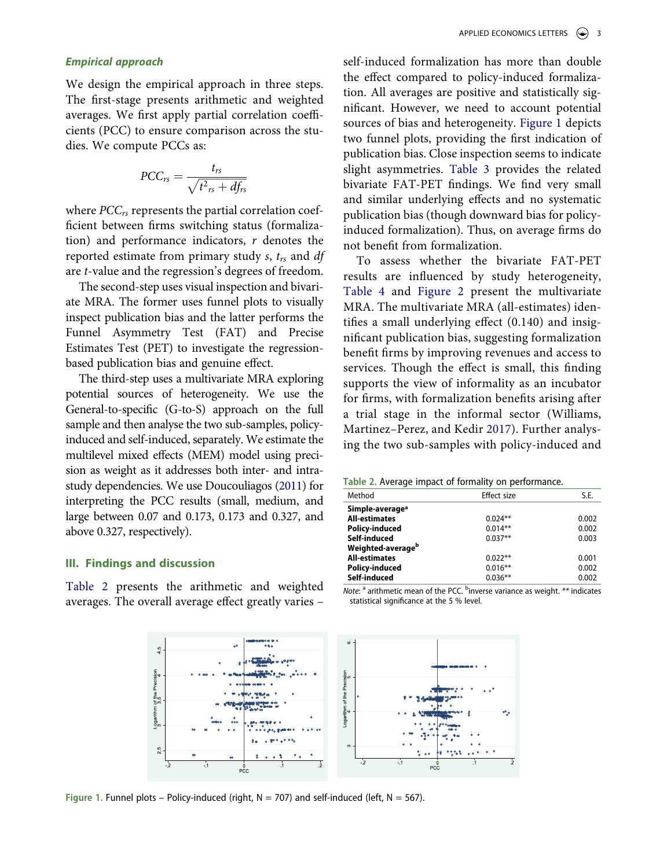# *Empirical approach*

We design the empirical approach in three steps. The first-stage presents arithmetic and weighted averages. We first apply partial correlation coefficients (PCC) to ensure comparison across the studies. We compute PCCs as:

$$
PCC_{rs} = \frac{t_{rs}}{\sqrt{t^2_{rs} + df_{rs}}}
$$

where *PCCrs* represents the partial correlation coefficient between firms switching status (formalization) and performance indicators, *r* denotes the reported estimate from primary study *s*, *trs* and *df*  are *t*-value and the regression's degrees of freedom.

The second-step uses visual inspection and bivariate MRA. The former uses funnel plots to visually inspect publication bias and the latter performs the Funnel Asymmetry Test (FAT) and Precise Estimates Test (PET) to investigate the regressionbased publication bias and genuine effect.

The third-step uses a multivariate MRA exploring potential sources of heterogeneity. We use the General-to-specific (G-to-S) approach on the full sample and then analyse the two sub-samples, policyinduced and self-induced, separately. We estimate the multilevel mixed effects (MEM) model using precision as weight as it addresses both inter- and intrastudy dependencies. We use Doucouliagos [\(2011](#page-6-3)) for interpreting the PCC results (small, medium, and large between 0.07 and 0.173, 0.173 and 0.327, and above 0.327, respectively).

#### <span id="page-3-2"></span>**III. Findings and discussion**

<span id="page-3-1"></span>[Table 2](#page-3-0) presents the arithmetic and weighted averages. The overall average effect greatly varies – self-induced formalization has more than double the effect compared to policy-induced formalization. All averages are positive and statistically significant. However, we need to account potential sources of bias and heterogeneity. [Figure 1](#page-3-1) depicts two funnel plots, providing the first indication of publication bias. Close inspection seems to indicate slight asymmetries. [Table 3](#page-4-0) provides the related bivariate FAT-PET findings. We find very small and similar underlying effects and no systematic publication bias (though downward bias for policyinduced formalization). Thus, on average firms do not benefit from formalization.

To assess whether the bivariate FAT-PET results are influenced by study heterogeneity, [Table 4](#page-4-1) and [Figure 2](#page-4-2) present the multivariate MRA. The multivariate MRA (all-estimates) identifies a small underlying effect (0.140) and insignificant publication bias, suggesting formalization benefit firms by improving revenues and access to services. Though the effect is small, this finding supports the view of informality as an incubator for firms, with formalization benefits arising after a trial stage in the informal sector (Williams, Martinez–Perez, and Kedir [2017](#page-6-4)). Further analysing the two sub-samples with policy-induced and

<span id="page-3-3"></span><span id="page-3-0"></span>

| Table 2. Average impact of formality on performance. |  |  |  |  |
|------------------------------------------------------|--|--|--|--|
|------------------------------------------------------|--|--|--|--|

| Method                        | Effect size | S.E.  |
|-------------------------------|-------------|-------|
|                               |             |       |
| Simple-average <sup>a</sup>   |             |       |
| <b>All-estimates</b>          | $0.024**$   | 0.002 |
| <b>Policy-induced</b>         | $0.014**$   | 0.002 |
| Self-induced                  | $0.037**$   | 0.003 |
| Weighted-average <sup>b</sup> |             |       |
| <b>All-estimates</b>          | $0.022**$   | 0.001 |
| <b>Policy-induced</b>         | $0.016**$   | 0.002 |
| Self-induced                  | $0.036**$   | 0.002 |

Note: <sup>a</sup> arithmetic mean of the PCC. <sup>b</sup>inverse variance as weight. \*\* indicates statistical significance at the 5 % level.



Figure 1. Funnel plots – Policy-induced (right,  $N = 707$ ) and self-induced (left,  $N = 567$ ).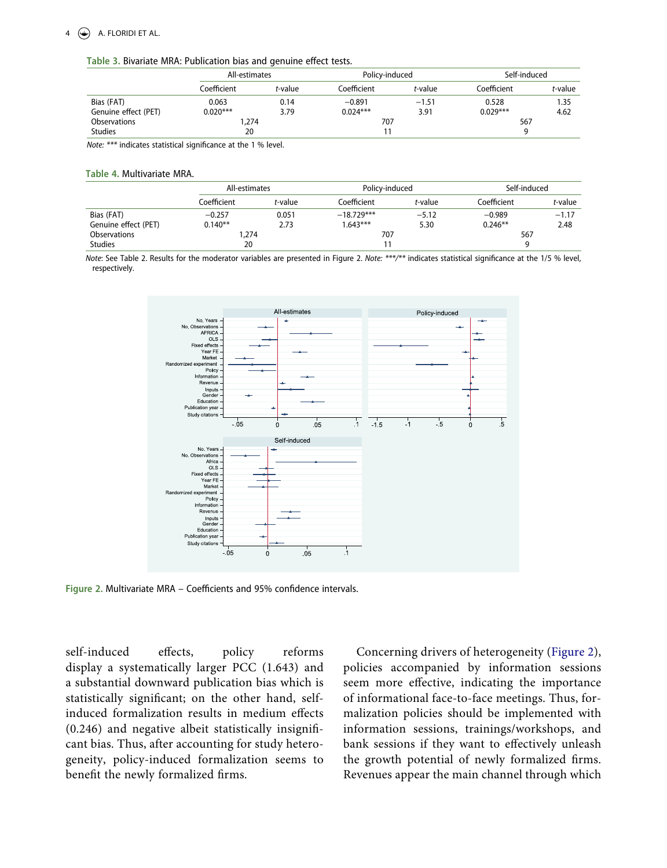#### $4 \quad \circledast$  A. FLORIDI ET AL.

#### <span id="page-4-0"></span>**Table 3.** Bivariate MRA: Publication bias and genuine effect tests.

|                      | All-estimates |         | Policy-induced |         | Self-induced |         |  |
|----------------------|---------------|---------|----------------|---------|--------------|---------|--|
|                      | Coefficient   | t-value | Coefficient    | t-value | Coefficient  | t-value |  |
| Bias (FAT)           | 0.063         | 0.14    | $-0.891$       | $-1.51$ | 0.528        | 1.35    |  |
| Genuine effect (PET) | $0.020***$    | 3.79    | $0.024***$     | 3.91    | $0.029***$   | 4.62    |  |
| <b>Observations</b>  |               | 274,    |                | 707     |              | 567     |  |
| <b>Studies</b>       | 20            |         |                |         |              |         |  |

*Note: \*\*\** indicates statistical significance at the 1 % level.

#### <span id="page-4-1"></span>**Table 4.** Multivariate MRA.

|                      | All-estimates |                 | Policy-induced |         | Self-induced |         |
|----------------------|---------------|-----------------|----------------|---------|--------------|---------|
|                      | Coefficient   | <i>t</i> -value | Coefficient    | t-value | Coefficient  | t-value |
| Bias (FAT)           | $-0.257$      | 0.051           | $-18.729***$   | $-5.12$ | $-0.989$     | $-1.17$ |
| Genuine effect (PET) | $0.140**$     | 2.73            | $1.643***$     | 5.30    | $0.246**$    | 2.48    |
| Observations         | .274          |                 | 707            |         | 567          |         |
| <b>Studies</b>       | 20            |                 |                |         |              |         |

<span id="page-4-2"></span>*Note*: See Table 2. Results for the moderator variables are presented in Figure 2. *Note: \*\*\*/\*\** indicates statistical significance at the 1/5 % level, respectively.



**Figure 2.** Multivariate MRA – Coefficients and 95% confidence intervals.

self-induced effects, policy reforms display a systematically larger PCC (1.643) and a substantial downward publication bias which is statistically significant; on the other hand, selfinduced formalization results in medium effects (0.246) and negative albeit statistically insignificant bias. Thus, after accounting for study heterogeneity, policy-induced formalization seems to benefit the newly formalized firms.

Concerning drivers of heterogeneity ([Figure 2\)](#page-4-2), policies accompanied by information sessions seem more effective, indicating the importance of informational face-to-face meetings. Thus, formalization policies should be implemented with information sessions, trainings/workshops, and bank sessions if they want to effectively unleash the growth potential of newly formalized firms. Revenues appear the main channel through which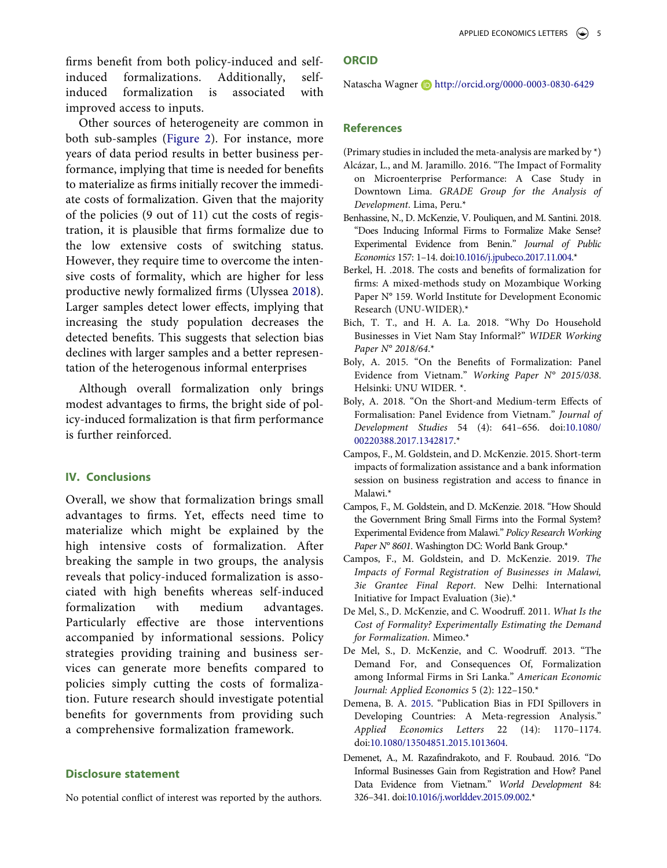firms benefit from both policy-induced and selfinduced formalizations. Additionally, selfinduced formalization is associated with improved access to inputs.

Other sources of heterogeneity are common in both sub-samples [\(Figure 2\)](#page-4-2). For instance, more years of data period results in better business performance, implying that time is needed for benefits to materialize as firms initially recover the immediate costs of formalization. Given that the majority of the policies (9 out of 11) cut the costs of registration, it is plausible that firms formalize due to the low extensive costs of switching status. However, they require time to overcome the intensive costs of formality, which are higher for less productive newly formalized firms (Ulyssea [2018](#page-6-5)). Larger samples detect lower effects, implying that increasing the study population decreases the detected benefits. This suggests that selection bias declines with larger samples and a better representation of the heterogenous informal enterprises

<span id="page-5-1"></span>Although overall formalization only brings modest advantages to firms, the bright side of policy-induced formalization is that firm performance is further reinforced.

# **IV. Conclusions**

Overall, we show that formalization brings small advantages to firms. Yet, effects need time to materialize which might be explained by the high intensive costs of formalization. After breaking the sample in two groups, the analysis reveals that policy-induced formalization is associated with high benefits whereas self-induced formalization with medium advantages. Particularly effective are those interventions accompanied by informational sessions. Policy strategies providing training and business services can generate more benefits compared to policies simply cutting the costs of formalization. Future research should investigate potential benefits for governments from providing such a comprehensive formalization framework.

#### **Disclosure statement**

No potential conflict of interest was reported by the authors.

#### **ORCID**

Natascha Wagner **b** http://orcid.org/0000-0003-0830-6429

# **References**

(Primary studies in included the meta-analysis are marked by \*)

- Alcázar, L., and M. Jaramillo. 2016. "The Impact of Formality on Microenterprise Performance: A Case Study in Downtown Lima. *GRADE Group for the Analysis of Development*. Lima, Peru.\*
- Benhassine, N., D. McKenzie, V. Pouliquen, and M. Santini. 2018. "Does Inducing Informal Firms to Formalize Make Sense? Experimental Evidence from Benin." *Journal of Public Economics* 157: 1–14. doi:[10.1016/j.jpubeco.2017.11.004](https://doi.org/10.1016/j.jpubeco.2017.11.004).\*
- Berkel, H. .2018. The costs and benefits of formalization for firms: A mixed-methods study on Mozambique Working Paper N° 159. World Institute for Development Economic Research (UNU-WIDER).\*
- Bich, T. T., and H. A. La. 2018. "Why Do Household Businesses in Viet Nam Stay Informal?" *WIDER Working Paper N° 2018/64*.\*
- Boly, A. 2015. "On the Benefits of Formalization: Panel Evidence from Vietnam." *Working Paper N° 2015/038*. Helsinki: UNU WIDER. \*.
- Boly, A. 2018. "On the Short-and Medium-term Effects of Formalisation: Panel Evidence from Vietnam." *Journal of Development Studies* 54 (4): 641–656. doi:[10.1080/](https://doi.org/10.1080/00220388.2017.1342817) [00220388.2017.1342817.](https://doi.org/10.1080/00220388.2017.1342817)\*
- Campos, F., M. Goldstein, and D. McKenzie. 2015. Short-term impacts of formalization assistance and a bank information session on business registration and access to finance in Malawi.\*
- Campos, F., M. Goldstein, and D. McKenzie. 2018. "How Should the Government Bring Small Firms into the Formal System? Experimental Evidence from Malawi." *Policy Research Working Paper N° 8601*. Washington DC: World Bank Group.\*
- Campos, F., M. Goldstein, and D. McKenzie. 2019. *The Impacts of Formal Registration of Businesses in Malawi, 3ie Grantee Final Report*. New Delhi: International Initiative for Impact Evaluation (3ie).\*
- De Mel, S., D. McKenzie, and C. Woodruff. 2011. *What Is the Cost of Formality? Experimentally Estimating the Demand for Formalization*. Mimeo.\*
- De Mel, S., D. McKenzie, and C. Woodruff. 2013. "The Demand For, and Consequences Of, Formalization among Informal Firms in Sri Lanka." *American Economic Journal: Applied Economics* 5 (2): 122–150.\*
- <span id="page-5-0"></span>Demena, B. A. [2015.](#page-1-0) "Publication Bias in FDI Spillovers in Developing Countries: A Meta-regression Analysis." *Applied Economics Letters* 22 (14): 1170–1174. doi:[10.1080/13504851.2015.1013604.](https://doi.org/10.1080/13504851.2015.1013604)
- Demenet, A., M. Razafindrakoto, and F. Roubaud. 2016. "Do Informal Businesses Gain from Registration and How? Panel Data Evidence from Vietnam." *World Development* 84: 326–341. doi:[10.1016/j.worlddev.2015.09.002.](https://doi.org/10.1016/j.worlddev.2015.09.002)\*